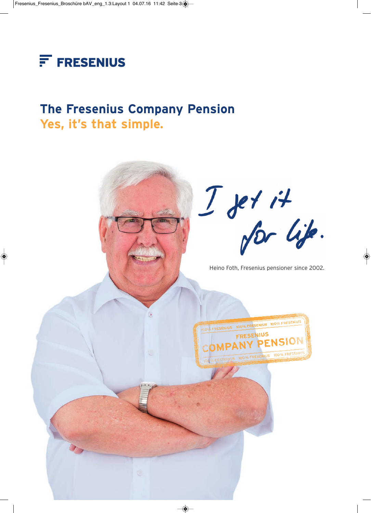

### **The Fresenius Company Pension Yes, it's that simple.**

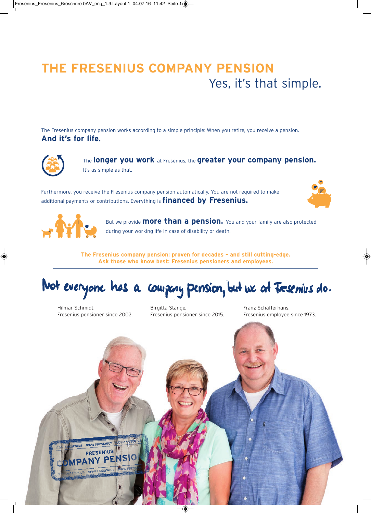# **THE FRESENIUS COMPANY PENSION** Yes, it's that simple.

The Fresenius company pension works according to a simple principle: When you retire, you receive a pension. **And it's for life.**



The **longer you work** at Fresenius, the **greater your company pension.** It's as simple as that.

Furthermore, you receive the Fresenius company pension automatically. You are not required to make additional payments or contributions. Everything is **financed by Fresenius.**





But we provide **more than a pension.** You and your family are also protected during your working life in case of disability or death.

**The Fresenius company pension: proven for decades – and still cutting-edge. Ask those who know best: Fresenius pensioners and employees.**

Not everyone has a company pension, but we at Tresenius do.

Hilmar Schmidt, Fresenius pensioner since 2002. Birgitta Stange, Fresenius pensioner since 2015.

Franz Schafferhans, Fresenius employee since 1973.

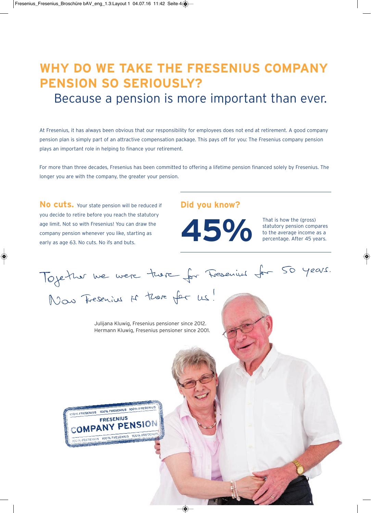## **WHY DO WE TAKE THE FRESENIUS COMPANY PENSION SO SERIOUSLY?**

Because a pension is more important than ever.

At Fresenius, it has always been obvious that our responsibility for employees does not end at retirement. A good company pension plan is simply part of an attractive compensation package. This pays off for you: The Fresenius company pension plays an important role in helping to finance your retirement.

For more than three decades, Fresenius has been committed to offering a lifetime pension financed solely by Fresenius. The longer you are with the company, the greater your pension.

No cuts. Your state pension will be reduced if you decide to retire before you reach the statutory age limit. Not so with Fresenius! You can draw the company pension whenever you like, starting as early as age 63. No cuts. No ifs and buts.

### **Did you know?**



statutory pension compares to the average income as a percentage. After 45 years.

Toyether we were treve for Fresenius for 50 years.<br>Now Fresenius is treve for us!

Julijana Kluwig, Fresenius pensioner since 2012. Hermann Kluwig, Fresenius pensioner since 2001.

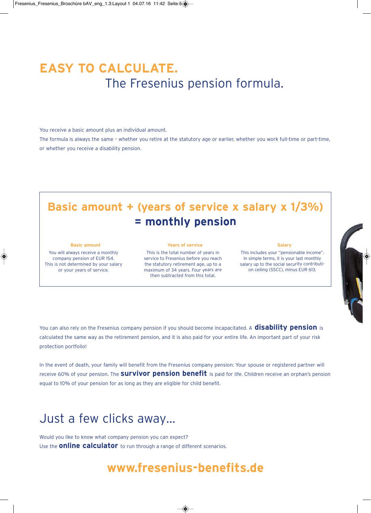## **EASY TO CALCULATE.** The Fresenius pension formula.

You receive a basic amount plus an individual amount.

The formula is always the same – whether you retire at the statutory age or earlier, whether you work full-time or part-time, or whether you receive a disability pension.

### **Basic amount + (years of service x salary x 1/3%) = monthly pension**

#### **Basic amount**

You will always receive a monthly company pension of EUR 154. This is not determined by your salary or your years of service.

**Years of service**

This is the total number of years in service to Fresenius before you reach the statutory retirement age, up to a maximum of 34 years. Four years are then subtracted from this total.

#### **Salary**

This includes your "pensionable income". In simple terms, it is your last monthly salary up to the social security contribution ceiling (SSCC), minus EUR 613.

You can also rely on the Fresenius company pension if you should become incapacitated. A **disability pension** is calculated the same way as the retirement pension, and it is also paid for your entire life. An important part of your risk protection portfolio!

In the event of death, your family will benefit from the Fresenius company pension: Your spouse or registered partner will receive 60% of your pension. The **survivor pension benefit** is paid for life. Children receive an orphan's pension equal to 10% of your pension for as long as they are eligible for child benefit.

### Just a few clicks away…

Would you like to know what company pension you can expect? Use the **online calculator** to run through a range of different scenarios.

### **www.fresenius-benefits.de**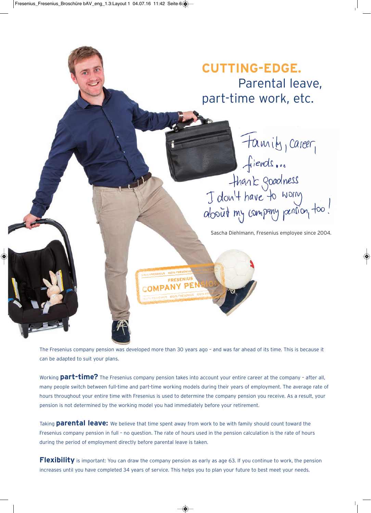

The Fresenius company pension was developed more than 30 years ago – and was far ahead of its time. This is because it can be adapted to suit your plans.

Working **part-time?** The Fresenius company pension takes into account your entire career at the company – after all, many people switch between full-time and part-time working models during their years of employment. The average rate of hours throughout your entire time with Fresenius is used to determine the company pension you receive. As a result, your pension is not determined by the working model you had immediately before your retirement.

Taking **parental leave:** We believe that time spent away from work to be with family should count toward the Fresenius company pension in full – no question. The rate of hours used in the pension calculation is the rate of hours during the period of employment directly before parental leave is taken.

**Flexibility** is important: You can draw the company pension as early as age 63. If you continue to work, the pension increases until you have completed 34 years of service. This helps you to plan your future to best meet your needs.